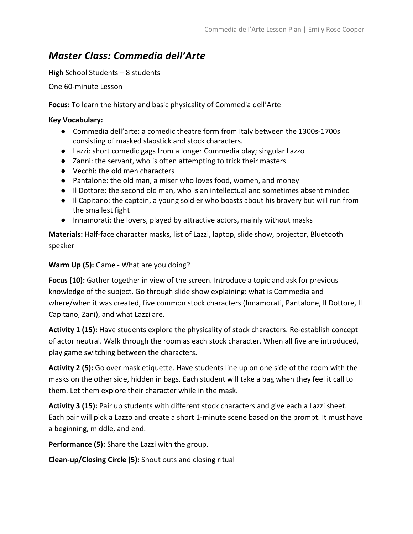## *Master Class: Commedia dell'Arte*

High School Students – 8 students

One 60-minute Lesson

**Focus:** To learn the history and basic physicality of Commedia dell'Arte

## **Key Vocabulary:**

- Commedia dell'arte: a comedic theatre form from Italy between the 1300s-1700s consisting of masked slapstick and stock characters.
- Lazzi: short comedic gags from a longer Commedia play; singular Lazzo
- Zanni: the servant, who is often attempting to trick their masters
- Vecchi: the old men characters
- Pantalone: the old man, a miser who loves food, women, and money
- Il Dottore: the second old man, who is an intellectual and sometimes absent minded
- Il Capitano: the captain, a young soldier who boasts about his bravery but will run from the smallest fight
- Innamorati: the lovers, played by attractive actors, mainly without masks

**Materials:** Half-face character masks, list of Lazzi, laptop, slide show, projector, Bluetooth speaker

## **Warm Up (5):** Game - What are you doing?

**Focus (10):** Gather together in view of the screen. Introduce a topic and ask for previous knowledge of the subject. Go through slide show explaining: what is Commedia and where/when it was created, five common stock characters (Innamorati, Pantalone, Il Dottore, Il Capitano, Zani), and what Lazzi are.

**Activity 1 (15):** Have students explore the physicality of stock characters. Re-establish concept of actor neutral. Walk through the room as each stock character. When all five are introduced, play game switching between the characters.

**Activity 2 (5):** Go over mask etiquette. Have students line up on one side of the room with the masks on the other side, hidden in bags. Each student will take a bag when they feel it call to them. Let them explore their character while in the mask.

**Activity 3 (15):** Pair up students with different stock characters and give each a Lazzi sheet. Each pair will pick a Lazzo and create a short 1-minute scene based on the prompt. It must have a beginning, middle, and end.

**Performance (5):** Share the Lazzi with the group.

**Clean-up/Closing Circle (5):** Shout outs and closing ritual